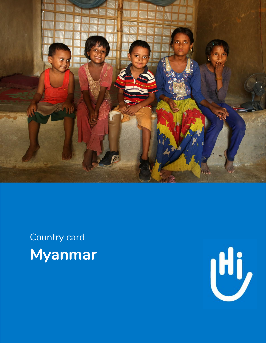

# Country card **Myanmar**

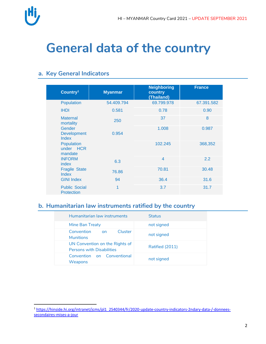

 $\overline{a}$ 

### **General data of the country**

#### **a. Key General Indicators**

| Country <sup>1</sup>                      | <b>Myanmar</b> | <b>Neighboring</b><br>country<br>(Thailand) | <b>France</b> |  |
|-------------------------------------------|----------------|---------------------------------------------|---------------|--|
| Population                                | 54.409.794     | 69.799.978                                  | 67.391.582    |  |
| <b>IHDI</b>                               | 0.581          | 0.78                                        | 0.90          |  |
| <b>Maternal</b><br>mortality              | 250            | 37                                          | 8             |  |
| Gender<br><b>Development</b><br>Index     | 0.954          | 1.008                                       | 0.987         |  |
| Population<br>under HCR<br>mandate        |                | 102.245                                     | 368,352       |  |
| <b>INFORM</b><br>index                    | 6.3            | $\overline{\mathcal{A}}$                    | 2.2           |  |
| <b>Fragile State</b><br><b>Index</b>      | 76.86          | 70.81                                       | 30.48         |  |
| <b>GINI Index</b>                         | 94             | 36.4                                        | 31.6          |  |
| <b>Public Social</b><br><b>Protection</b> | 1              | 3.7                                         | 31.7          |  |

#### **b. Humanitarian law instruments ratified by the country**

| Humanitarian law instruments                                       | <b>Status</b>   |
|--------------------------------------------------------------------|-----------------|
| Mine Ban Treaty                                                    | not signed      |
| Cluster<br>Convention<br><b>on</b><br><b>Munitions</b>             | not signed      |
| UN Convention on the Rights of<br><b>Persons with Disabilities</b> | Ratified (2011) |
| Convention on Conventional<br><b>Weapons</b>                       | not signed      |

<sup>&</sup>lt;sup>1</sup> [https://hinside.hi.org/intranet/jcms/pl1\\_2540344/fr/2020-update-country-indicators-2ndary-data-/-donnees](https://hinside.hi.org/intranet/jcms/pl1_2540344/fr/2020-update-country-indicators-2ndary-data-/-donnees-secondaires-mises-a-jour)[secondaires-mises-a-jour](https://hinside.hi.org/intranet/jcms/pl1_2540344/fr/2020-update-country-indicators-2ndary-data-/-donnees-secondaires-mises-a-jour)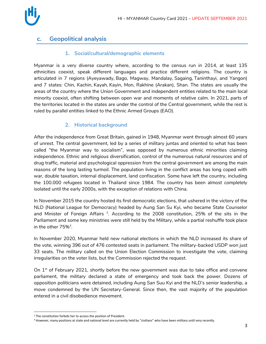

#### **c. Geopolitical analysis**

#### **1. Social/cultural/demographic elements**

Myanmar is a very diverse country where, according to the census run in 2014, at least 135 ethnicities coexist, speak different languages and practice different religions. The country is articulated in 7 regions (Ayeyawady, Bago, Magway, Mandalay, Sagaing, Taninthayi, and Yangon) and 7 states: Chin, Kachin, Kayah, Kayin, Mon, Rakhine (Arakan), Shan. The states are usually the areas of the country where the Union Government and independent entities related to the main local minority coexist, often shifting between open war and moments of relative calm. In 2021, parts of the territories located in the states are under the control of the Central government, while the rest is ruled by parallel entities linked to the Ethnic Armed Groups (EAO).

#### **2. Historical background**

After the independence from Great Britain, gained in 1948, Myanmar went through almost 60 years of unrest. The central government, led by a series of military juntas and oriented to what has been called "the Myanmar way to socialism", was opposed by numerous ethnic minorities claiming independence. Ethnic and religious diversification, control of the numerous natural resources and of drug traffic, material and psychological oppression from the central government are among the main reasons of the long lasting turmoil. The population living in the conflict areas has long coped with war, double taxation, internal displacement, land confiscation. Some have left the country, including the 100.000 refugees located in Thailand since 1984. The country has been almost completely isolated until the early 2000s, with the exception of relations with China.

In November 2015 the country hosted its first democratic elections, that ushered in the victory of the NLD (National League for Democracy) headed by Aung San Su Kyi, who became State Counselor and Minister of Foreign Affairs  $^2$ . According to the 2008 constitution, 25% of the sits in the Parliament and some key ministries were still held by the Military, while a partial reshuffle took place in the other  $75\%$ <sup>3</sup>.

In November 2020, Myanmar held new national elections in which the NLD increased its share of the vote, winning 396 out of 476 contested seats in parliament. The military-backed USDP won just 33 seats. The military called on the Union Election Commission to investigate the vote, claiming irregularities on the voter lists, but the Commission rejected the request.

On 1<sup>st</sup> of February 2021, shortly before the new government was due to take office and convene parliament, the military declared a state of emergency and took back the power. Dozens of opposition politicians were detained, including Aung San Suu Kyi and the NLD's senior leadership, a move condemned by the UN Secretary-General. Since then, the vast majority of the population entered in a civil disobedience movement.

 $\overline{\phantom{a}}$ <sup>2</sup> The constitution forbids her to access the position of President.

<sup>&</sup>lt;sup>3</sup> However, many positions at state and national level are currently held by "civilians" who have been military until very recently.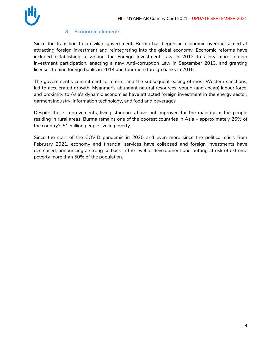

#### **3. Economic elements**

Since the transition to a civilian government, Burma has begun an economic overhaul aimed at attracting foreign investment and reintegrating into the global economy. Economic reforms have included establishing re-writing the Foreign Investment Law in 2012 to allow more foreign investment participation, enacting a new Anti-corruption Law in September 2013, and granting licenses to nine foreign banks in 2014 and four more foreign banks in 2016.

The government's commitment to reform, and the subsequent easing of most Western sanctions, led to accelerated growth. Myanmar's abundant natural resources, young (and cheap) labour force, and proximity to Asia's dynamic economies have attracted foreign investment in the energy sector, garment industry, information technology, and food and beverages

Despite these improvements, living standards have not improved for the majority of the people residing in rural areas. Burma remains one of the poorest countries in Asia – approximately 26% of the country's 51 million people live in poverty.

Since the start of the COVID pandemic in 2020 and even more since the political crisis from February 2021, economy and financial services have collapsed and foreign investments have decreased, announcing a strong setback in the level of development and putting at risk of extreme poverty more than 50% of the population.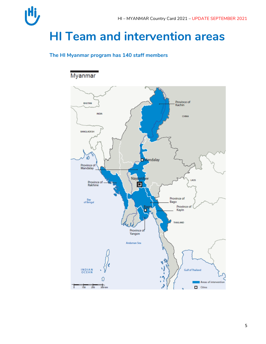

## **HI Team and intervention areas**

#### **The HI Myanmar program has 140 staff members**

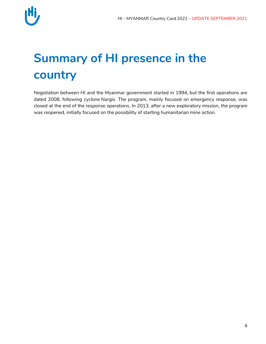

## **Summary of HI presence in the country**

Negotiation between HI and the Myanmar government started in 1994, but the first operations are dated 2008, following cyclone Nargis. The program, mainly focused on emergency response, was closed at the end of the response operations. In 2013, after a new exploratory mission, the program was reopened, initially focused on the possibility of starting humanitarian mine action.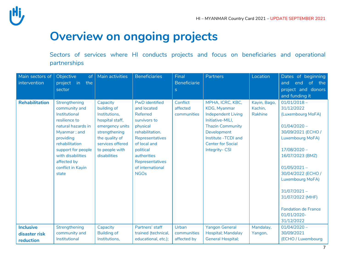### **Overview on ongoing projects**

Sectors of services where HI conducts projects and focus on beneficiaries and operational partnerships

| Main sectors of<br>intervention                | Objective<br>of <sub>1</sub><br>project<br>$\mathsf{in}$<br>the<br>sector                                                                                                                                                     | Main activities                                                                                                                                                         | <b>Beneficiaries</b>                                                                                                                                                                                                        | Final<br><b>Beneficiarie</b><br>S   | <b>Partners</b>                                                                                                                                                                                  | Location                           | Dates of beginning<br>the<br><sub>of</sub><br>end<br>and<br>project and donors<br>and funding it                                                                                                                                                                                                                        |
|------------------------------------------------|-------------------------------------------------------------------------------------------------------------------------------------------------------------------------------------------------------------------------------|-------------------------------------------------------------------------------------------------------------------------------------------------------------------------|-----------------------------------------------------------------------------------------------------------------------------------------------------------------------------------------------------------------------------|-------------------------------------|--------------------------------------------------------------------------------------------------------------------------------------------------------------------------------------------------|------------------------------------|-------------------------------------------------------------------------------------------------------------------------------------------------------------------------------------------------------------------------------------------------------------------------------------------------------------------------|
| <b>Rehabilitation</b>                          | Strengthening<br>community and<br>Institutional<br>resilience to<br>natural hazards in<br>Myanmar; and<br>providing<br>rehabilitation<br>support for people<br>with disabilities<br>affected by<br>conflict in Kayin<br>state | Capacity<br>building of<br>Institutions,<br>hospital staff,<br>emergency units<br>strengthening<br>the quality of<br>services offered<br>to people with<br>disabilities | <b>PwD</b> identified<br>and located<br><b>Referred</b><br>survivors to<br>physical<br>rehabilitation.<br>Representatives<br>of local and<br>political<br>authorities<br>Representatives<br>of international<br><b>NGOs</b> | Conflict<br>affected<br>communities | MPHA, ICRC, KBC,<br>KDG, Myanmar<br><b>Independent Living</b><br>Initiative-MILI,<br><b>Thazin Community</b><br>Development<br>Institute -TCDI and<br><b>Center for Social</b><br>Integrity- CSI | Kayin, Bago,<br>Kachin,<br>Rakhine | $01/01/2018 -$<br>31/12/2022<br>(Luxembourg MoFA)<br>$01/04/2020 -$<br>30/09/2021 (ECHO /<br>Luxembourg MoFA)<br>$17/08/2020 -$<br>16/07/2023 (BMZ)<br>$01/05/2021 -$<br>30/04/2022 (ECHO /<br><b>Luxembourg MoFA)</b><br>$31/07/2021 -$<br>31/07/2022 (MHF)<br><b>Fondation de France</b><br>01/01/2020-<br>31/12/2022 |
| <b>Inclusive</b><br>disaster risk<br>reduction | Strengthening<br>community and<br>Institutional                                                                                                                                                                               | Capacity<br><b>Building of</b><br>Institutions,                                                                                                                         | Partners' staff<br>trained (technical,<br>educational, etc.);                                                                                                                                                               | Urban<br>communities<br>affected by | <b>Yangon General</b><br>Hospital; Mandalay<br><b>General Hospital;</b>                                                                                                                          | Mandalay,<br>Yangon,               | $01/04/2020 -$<br>30/09/2021<br>(ECHO / Luxembourg                                                                                                                                                                                                                                                                      |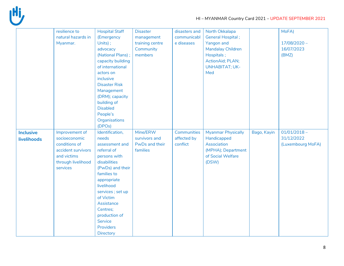

|                                 | resilience to<br>natural hazards in<br>Myanmar.                                                                         | <b>Hospital Staff</b><br>(Emergency<br>Units);<br>advocacy<br>(National Plans);<br>capacity building<br>of international<br>actors on<br>inclusive<br><b>Disaster Risk</b><br>Management<br>(DRM); capacity<br>building of<br><b>Disabled</b><br>People's<br>Organisations | <b>Disaster</b><br>management<br>training centre<br>Community<br>members | disasters and<br>communicabl<br>e diseases | North Okkalapa<br><b>General Hospital;</b><br>Yangon and<br><b>Mandalay Children</b><br>Hospitals;<br>ActionAid; PLAN;<br><b>UNHABITAT; UK-</b><br>Med |             | MoFA)<br>$17/08/2020 -$<br>16/07/2023<br>(BMZ)    |
|---------------------------------|-------------------------------------------------------------------------------------------------------------------------|----------------------------------------------------------------------------------------------------------------------------------------------------------------------------------------------------------------------------------------------------------------------------|--------------------------------------------------------------------------|--------------------------------------------|--------------------------------------------------------------------------------------------------------------------------------------------------------|-------------|---------------------------------------------------|
| <b>Inclusive</b><br>livelihoods | Improvement of<br>socioeconomic<br>conditions of<br>accident survivors<br>and victims<br>through livelihood<br>services | (DPOs)<br>Identification,<br>needs<br>assessment and<br>referral of<br>persons with<br>disabilities<br>(PwDs) and their<br>families to<br>appropriate<br>livelihood                                                                                                        | Mine/ERW<br>survivors and<br>PwDs and their<br>families                  | Communities<br>affected by<br>conflict     | <b>Myanmar Physically</b><br>Handicapped<br>Association<br>(MPHA); Department<br>of Social Welfare<br>(DSW)                                            | Bago, Kayin | $01/01/2018 -$<br>31/12/2022<br>(Luxembourg MoFA) |
|                                 |                                                                                                                         | services ; set up<br>of Victim<br>Assistance<br>Centres;<br>production of<br>Service<br><b>Providers</b><br>Directory                                                                                                                                                      |                                                                          |                                            |                                                                                                                                                        |             |                                                   |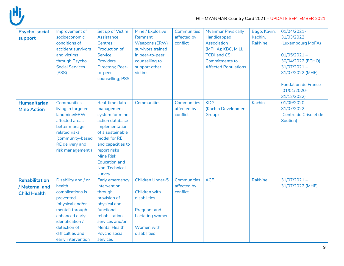

| <b>Psycho-social</b>  | Improvement of         | Set up of Victim     | Mine / Explosive        | Communities        | <b>Myanmar Physically</b>   | Bago, Kayin, | 01/04/2021-                |
|-----------------------|------------------------|----------------------|-------------------------|--------------------|-----------------------------|--------------|----------------------------|
| support               | socioeconomic          | Assistance           | Remnant                 | affected by        | Handicapped                 | Kachin,      | 31/03/2022                 |
|                       | conditions of          | Centres;             | Weapons (ERW)           | conflict           | Association                 | Rakhine      | (Luxembourg MoFA)          |
|                       | accident survivors     | Production of        | survivors trained       |                    | (MPHA); KBC, MILI,          |              |                            |
|                       | and victims            | Service              | in peer-to-peer         |                    | <b>TCDI and CSI</b>         |              | $01/05/2021 -$             |
|                       | through Psycho         | Providers            | counselling to          |                    | <b>Commitments to</b>       |              | 30/04/2022 (ECHO)          |
|                       | <b>Social Services</b> | Directory; Peer-     | support other           |                    | <b>Affected Populations</b> |              | $31/07/2021 -$             |
|                       | (PSS)                  | to-peer              | victims                 |                    |                             |              | 31/07/2022 (MHF)           |
|                       |                        | counselling; PSS     |                         |                    |                             |              |                            |
|                       |                        |                      |                         |                    |                             |              | <b>Fondation de France</b> |
|                       |                        |                      |                         |                    |                             |              | $(01/01/2020 -$            |
|                       |                        |                      |                         |                    |                             |              | 31/12/2022)                |
|                       | Communities            | Real-time data       | Communities             | Communities        | <b>KDG</b>                  | Kachin       | $01/09/2020 -$             |
| <b>Humanitarian</b>   |                        |                      |                         |                    |                             |              |                            |
| <b>Mine Action</b>    | living in targeted     | management           |                         | affected by        | (Kachin Development         |              | 31/07/2022                 |
|                       | landmine/ERW           | system for mine      |                         | conflict           | Group)                      |              | (Centre de Crise et de     |
|                       | affected areas         | action database      |                         |                    |                             |              | Soutien)                   |
|                       | better manage          | Implementation       |                         |                    |                             |              |                            |
|                       | related risks          | of a sustainable     |                         |                    |                             |              |                            |
|                       | (community-based       | model for RE         |                         |                    |                             |              |                            |
|                       | RE delivery and        | and capacities to    |                         |                    |                             |              |                            |
|                       | risk management)       | report risks         |                         |                    |                             |              |                            |
|                       |                        | <b>Mine Risk</b>     |                         |                    |                             |              |                            |
|                       |                        | <b>Education and</b> |                         |                    |                             |              |                            |
|                       |                        | Non-Technical        |                         |                    |                             |              |                            |
|                       |                        | survey               |                         |                    |                             |              |                            |
| <b>Rehabilitation</b> | Disability and / or    | Early emergency      | <b>Children Under-5</b> | <b>Communities</b> | <b>ACF</b>                  | Rakhine      | $31/07/2021 -$             |
| / Maternal and        | health                 | intervention         |                         | affected by        |                             |              | 31/07/2022 (MHF)           |
| <b>Child Health</b>   | complications is       | through              | Children with           | conflict           |                             |              |                            |
|                       | prevented              | provision of         | disabilities            |                    |                             |              |                            |
|                       | (physical and/or       | physical and         |                         |                    |                             |              |                            |
|                       | mental) through        | functional           | <b>Pregnant and</b>     |                    |                             |              |                            |
|                       | enhanced early         | rehabilitation       | Lactating women         |                    |                             |              |                            |
|                       | identification /       | services and/or      |                         |                    |                             |              |                            |
|                       | detection of           | <b>Mental Health</b> | Women with              |                    |                             |              |                            |
|                       | difficulties and       | Psycho social        | disabilities            |                    |                             |              |                            |
|                       | early intervention     | services             |                         |                    |                             |              |                            |
|                       |                        |                      |                         |                    |                             |              |                            |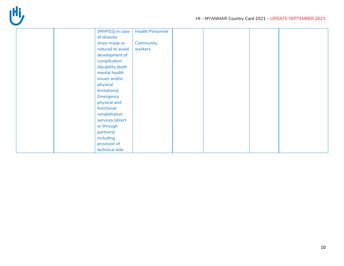

| (MHPSS) in case   | <b>Health Personnel</b> |
|-------------------|-------------------------|
| of disaster       |                         |
| (man-made or      | Community               |
| natural) to avoid | workers                 |
| development of    |                         |
| complication      |                         |
| /disability (both |                         |
| mental health     |                         |
| issues and/or     |                         |
| physical          |                         |
| limitations)      |                         |
| Emergency         |                         |
| physical and      |                         |
| functional        |                         |
| rehabilitation    |                         |
| services (direct  |                         |
| or through        |                         |
| partners)         |                         |
| including         |                         |
| provision of      |                         |
| technical aids    |                         |